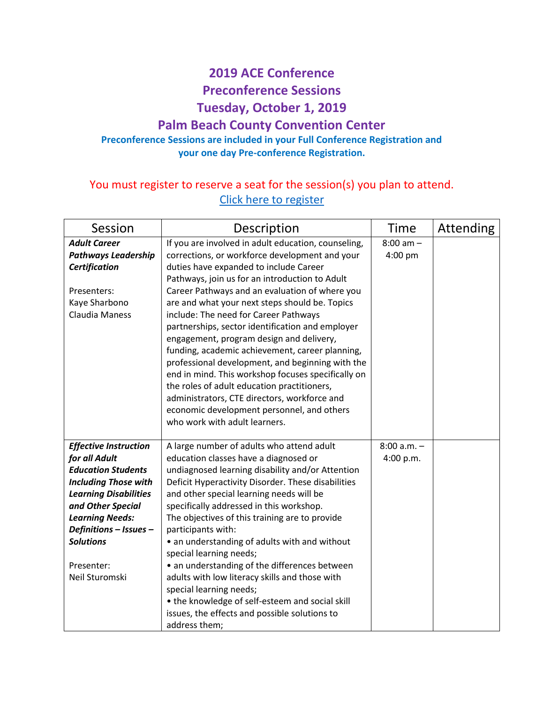## **2019 ACE Conference**

**Preconference Sessions**

**Tuesday, October 1, 2019**

## **Palm Beach County Convention Center**

## **Preconference Sessions are included in your Full Conference Registration and your one day Pre-conference Registration.**

## You must register to reserve a seat for the session(s) you plan to attend. [Click here to register](https://forms.gle/K9aVquWQbESevdns8)

| Session                                           | Description                                                                          | Time          | Attending |
|---------------------------------------------------|--------------------------------------------------------------------------------------|---------------|-----------|
| <b>Adult Career</b>                               | If you are involved in adult education, counseling,                                  | $8:00$ am $-$ |           |
| <b>Pathways Leadership</b>                        | corrections, or workforce development and your                                       | 4:00 pm       |           |
| <b>Certification</b>                              | duties have expanded to include Career                                               |               |           |
|                                                   | Pathways, join us for an introduction to Adult                                       |               |           |
| Presenters:                                       | Career Pathways and an evaluation of where you                                       |               |           |
| Kaye Sharbono                                     | are and what your next steps should be. Topics                                       |               |           |
| Claudia Maness                                    | include: The need for Career Pathways                                                |               |           |
|                                                   | partnerships, sector identification and employer                                     |               |           |
|                                                   | engagement, program design and delivery,                                             |               |           |
|                                                   | funding, academic achievement, career planning,                                      |               |           |
|                                                   | professional development, and beginning with the                                     |               |           |
|                                                   | end in mind. This workshop focuses specifically on                                   |               |           |
|                                                   | the roles of adult education practitioners,                                          |               |           |
|                                                   | administrators, CTE directors, workforce and                                         |               |           |
|                                                   | economic development personnel, and others                                           |               |           |
|                                                   | who work with adult learners.                                                        |               |           |
|                                                   |                                                                                      |               |           |
| <b>Effective Instruction</b>                      | A large number of adults who attend adult                                            | $8:00 a.m. -$ |           |
| for all Adult                                     | education classes have a diagnosed or                                                | 4:00 p.m.     |           |
| <b>Education Students</b>                         | undiagnosed learning disability and/or Attention                                     |               |           |
| <b>Including Those with</b>                       | Deficit Hyperactivity Disorder. These disabilities                                   |               |           |
| <b>Learning Disabilities</b><br>and Other Special | and other special learning needs will be<br>specifically addressed in this workshop. |               |           |
| <b>Learning Needs:</b>                            | The objectives of this training are to provide                                       |               |           |
| Definitions - Issues -                            | participants with:                                                                   |               |           |
| <b>Solutions</b>                                  | • an understanding of adults with and without                                        |               |           |
|                                                   | special learning needs;                                                              |               |           |
| Presenter:                                        | • an understanding of the differences between                                        |               |           |
| Neil Sturomski                                    | adults with low literacy skills and those with                                       |               |           |
|                                                   | special learning needs;                                                              |               |           |
|                                                   | • the knowledge of self-esteem and social skill                                      |               |           |
|                                                   | issues, the effects and possible solutions to                                        |               |           |
|                                                   | address them;                                                                        |               |           |